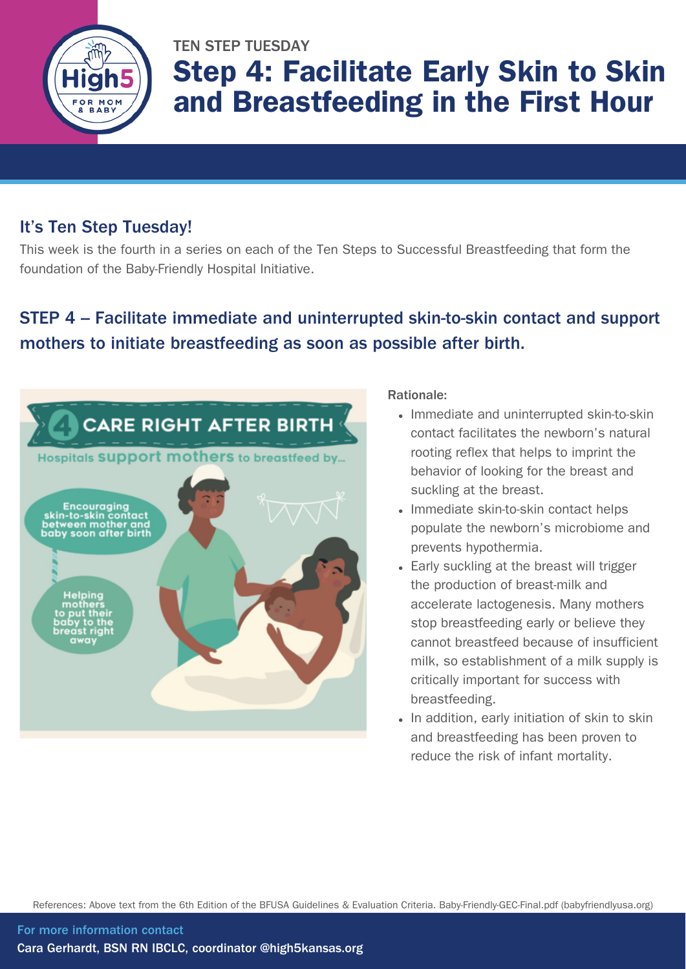

# TEN STEP TUESDAY Step 4: Facilitate Early Skin to Skin and Breastfeeding in the First Hour

### It's Ten Step Tuesday!

This week is the fourth in a series on each of the Ten Steps to Successful Breastfeeding that form the foundation of the Baby-Friendly Hospital Initiative.

### STEP 4 – Facilitate immediate and uninterrupted skin-to-skin contact and support mothers to initiate breastfeeding as soon as possible after birth.



#### Rationale:

- Immediate and uninterrupted skin-to-skin contact facilitates the newborn's natural rooting reflex that helps to imprint the behavior of looking for the breast and suckling at the breast.
- Immediate skin-to-skin contact helps populate the newborn's microbiome and prevents hypothermia.
- Early suckling at the breast will trigger the production of breast-milk and accelerate lactogenesis. Many mothers stop breastfeeding early or believe they cannot breastfeed because of insufficient milk, so establishment of a milk supply is critically important for success with breastfeeding.
- In addition, early initiation of skin to skin and breastfeeding has been proven to reduce the risk of infant mortality.

References: Above text from the 6th Edition of the BFUSA Guidelines & Evaluation Criteria. [Baby-Friendly-GEC-Final.pdf](https://www.babyfriendlyusa.org/wp-content/uploads/2021/07/Baby-Friendly-GEC-Final.pdf) (babyfriendlyusa.org)